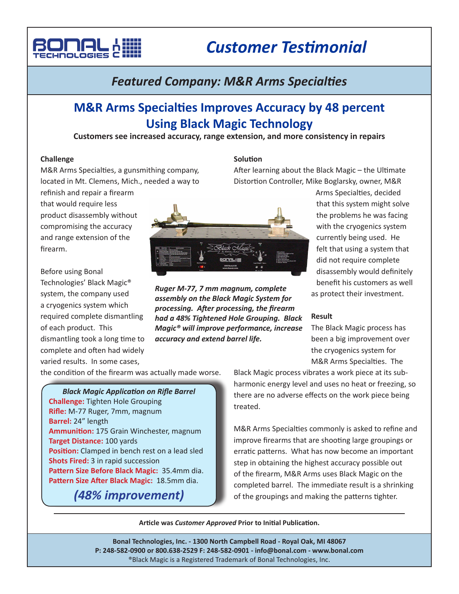

# *Customer Testimonial*

# *Featured Company: M&R Arms Specialties*

## **M&R Arms Specialties Improves Accuracy by 48 percent Using Black Magic Technology**

**Customers see increased accuracy, range extension, and more consistency in repairs**

### **Challenge**

M&R Arms Specialties, a gunsmithing company, located in Mt. Clemens, Mich., needed a way to

refinish and repair a firearm that would require less product disassembly without compromising the accuracy and range extension of the firearm.

Before using Bonal Technologies' Black Magic® system, the company used a cryogenics system which required complete dismantling of each product. This dismantling took a long time to complete and often had widely varied results. In some cases,



*Ruger M-77, 7 mm magnum, complete assembly on the Black Magic System for processing. After processing, the firearm had a 48% Tightened Hole Grouping. Black Magic® will improve performance, increase accuracy and extend barrel life.* 

that this system might solve the problems he was facing with the cryogenics system currently being used. He felt that using a system that did not require complete disassembly would definitely benefit his customers as well as protect their investment.

### **Result**

The Black Magic process has been a big improvement over the cryogenics system for M&R Arms Specialties. The

the condition of the firearm was actually made worse.

*Black Magic Application on Rifle Barrel* **Challenge:** Tighten Hole Grouping **Rifle:** M-77 Ruger, 7mm, magnum **Barrel:** 24" length **Ammunition:** 175 Grain Winchester, magnum **Target Distance:** 100 yards **Position:** Clamped in bench rest on a lead sled **Shots Fired:** 3 in rapid succession **Pattern Size Before Black Magic:** 35.4mm dia. **Pattern Size After Black Magic:** 18.5mm dia.

### *(48% improvement)*

Black Magic process vibrates a work piece at its subharmonic energy level and uses no heat or freezing, so there are no adverse effects on the work piece being treated.

M&R Arms Specialties commonly is asked to refine and improve firearms that are shooting large groupings or erratic patterns. What has now become an important step in obtaining the highest accuracy possible out of the firearm, M&R Arms uses Black Magic on the completed barrel. The immediate result is a shrinking of the groupings and making the patterns tighter.

**Article was** *Customer Approved* **Prior to Initial Publication.**

**Bonal Technologies, Inc. - 1300 North Campbell Road - Royal Oak, MI 48067 P: 248-582-0900 or 800.638-2529 F: 248-582-0901 - info@bonal.com - www.bonal.com** ®Black Magic is a Registered Trademark of Bonal Technologies, Inc.

### **Solution**

Distortion Controller, Mike Boglarsky, owner, M&R Arms Specialties, decided

After learning about the Black Magic – the Ultimate